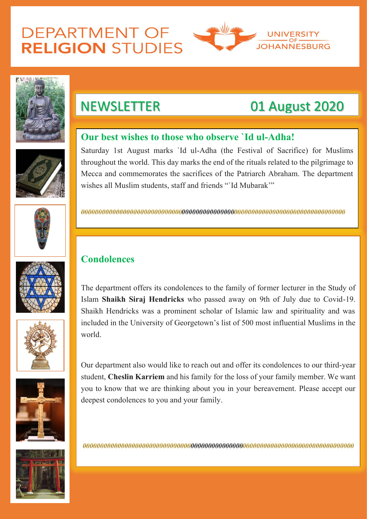# **DEPARTMENT OF RELIGION STUDIES**





## NEWSLETTER 01 August 2020

## **Our best wishes to those who observe `Id ul-Adha!**

Saturday 1st August marks `Id ul-Adha (the Festival of Sacrifice) for Muslims throughout the world. This day marks the end of the rituals related to the pilgrimage to Mecca and commemorates the sacrifices of the Patriarch Abraham. The department wishes all Muslim students, staff and friends "`Id Mubarak'"









Our department also would like to reach out and offer its condolences to our third-year student, **Cheslin Karriem** and his family for the loss of your family member. We want you to know that we are thinking about you in your bereavement. Please accept our deepest condolences to you and your family.

### **Condolences**

The department offers its condolences to the family of former lecturer in the Study of Islam **Shaikh Siraj Hendricks** who passed away on 9th of July due to Covid-19. Shaikh Hendricks was a prominent scholar of Islamic law and spirituality and was included in the University of Georgetown's list of 500 most influential Muslims in the world.